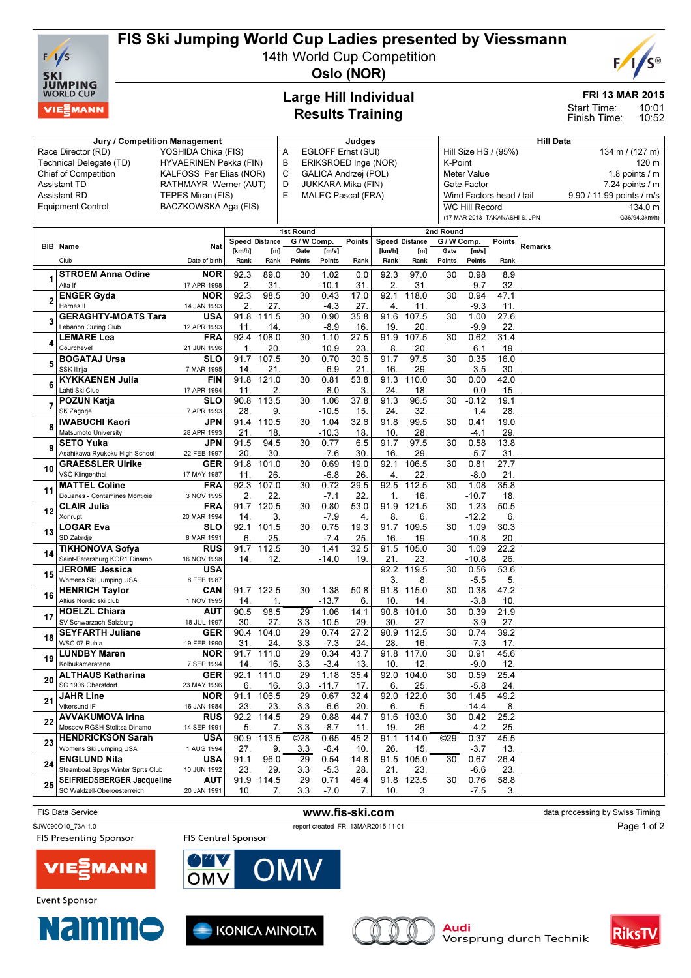

# FIS Ski Jumping World Cup Ladies presented by Viessmann

14th World Cup Competition



Oslo (NOR)

## Large Hill Individual Results Training

### FRI 13 MAR 2015

10:01 10:52 Start Time: Finish Time:

|                                                   | Jury / Competition Management                            |                           | Judges                |                            |                          |                           |                      |                | <b>Hill Data</b>   |                          |                                         |                     |                           |                  |  |  |  |
|---------------------------------------------------|----------------------------------------------------------|---------------------------|-----------------------|----------------------------|--------------------------|---------------------------|----------------------|----------------|--------------------|--------------------------|-----------------------------------------|---------------------|---------------------------|------------------|--|--|--|
|                                                   | Race Director (RD)                                       | YOSHIDA Chika (FIS)       |                       |                            | EGLOFF Ernst (SUI)<br>Α  |                           |                      |                |                    |                          | Hill Size HS / (95%)<br>134 m / (127 m) |                     |                           |                  |  |  |  |
| Technical Delegate (TD)<br>HYVAERINEN Pekka (FIN) |                                                          |                           |                       |                            | В                        |                           | ERIKSROED Inge (NOR) |                | K-Point            |                          |                                         |                     |                           | 120 m            |  |  |  |
|                                                   | Chief of Competition                                     | KALFOSS Per Elias (NOR)   |                       |                            | C                        |                           | GALICA Andrzej (POL) |                | <b>Meter Value</b> |                          |                                         |                     |                           | 1.8 points $/$ m |  |  |  |
|                                                   | <b>Assistant TD</b>                                      | RATHMAYR Werner (AUT)     |                       | D                          |                          | JUKKARA Mika (FIN)        | Gate Factor          |                |                    |                          |                                         | $7.24$ points $/ m$ |                           |                  |  |  |  |
|                                                   | TEPES Miran (FIS)<br><b>Assistant RD</b>                 |                           |                       | E                          |                          | <b>MALEC Pascal (FRA)</b> |                      |                |                    | Wind Factors head / tail |                                         |                     | 9.90 / 11.99 points / m/s |                  |  |  |  |
|                                                   | <b>Equipment Control</b>                                 | BACZKOWSKA Aga (FIS)      |                       |                            |                          |                           |                      |                |                    |                          | <b>WC Hill Record</b>                   |                     |                           | 134.0 m          |  |  |  |
|                                                   |                                                          |                           |                       |                            |                          |                           |                      |                |                    |                          | (17 MAR 2013 TAKANASHI S. JPN           |                     |                           | G36/94.3km/h)    |  |  |  |
|                                                   |                                                          |                           |                       |                            |                          |                           |                      |                |                    |                          |                                         |                     |                           |                  |  |  |  |
|                                                   |                                                          |                           | <b>Speed Distance</b> |                            | 1st Round<br>G / W Comp. |                           | <b>Points</b>        | Speed Distance |                    | 2nd Round<br>G / W Comp. |                                         | Points              |                           |                  |  |  |  |
|                                                   | <b>BIB</b> Name                                          | Nat                       | [ $km/h$ ]            | [m]                        | Gate                     | [m/s]                     |                      | [km/h]         | [m]                | Gate                     | [m/s]                                   |                     | <b>Remarks</b>            |                  |  |  |  |
|                                                   | Club                                                     | Date of birth             | Rank                  | Rank                       | Points                   | Points                    | Rank                 | Rank           | Rank               | Points                   | Points                                  | Rank                |                           |                  |  |  |  |
|                                                   | <b>STROEM Anna Odine</b>                                 | <b>NOR</b>                | 92.3                  | 89.0                       | 30                       | 1.02                      | 0.0                  | 92.3           | 97.0               | 30                       | 0.98                                    | 8.9                 |                           |                  |  |  |  |
| 1                                                 | Alta If                                                  | 17 APR 1998               | 2.                    | 31.                        |                          | $-10.1$                   | 31.                  | 2.             | 31.                |                          | $-9.7$                                  | 32                  |                           |                  |  |  |  |
|                                                   | <b>ENGER Gyda</b>                                        | <b>NOR</b>                | 92.3                  | 98.5                       | $\overline{30}$          | 0.43                      | 17.0                 | 92.1           | 118.0              | 30                       | 0.94                                    | 47.1                |                           |                  |  |  |  |
| $\overline{2}$                                    | Hernes IL                                                | 14 JAN 1993               | 2.                    | 27.                        |                          | $-4.3$                    | 27.                  | 4.             | 11.                |                          | $-9.3$                                  | 11.                 |                           |                  |  |  |  |
|                                                   | <b>GERAGHTY-MOATS Tara</b>                               | <b>USA</b>                | 91.8                  | 111.5                      | 30                       | 0.90                      | 35.8                 | 91.6           | 107.5              | 30                       | 1.00                                    | 27.6                |                           |                  |  |  |  |
| 3                                                 | Lebanon Outing Club                                      | 12 APR 1993               | 11.                   | 14.                        |                          | $-8.9$                    | 16                   | 19             | 20.                |                          | $-9.9$                                  | 22                  |                           |                  |  |  |  |
|                                                   | <b>LEMARE Lea</b>                                        | <b>FRA</b>                | 92.4                  | 108.0                      | 30                       | 1.10                      | 27.5                 | 91.9           | 107.5              | 30                       | 0.62                                    | 31.4                |                           |                  |  |  |  |
| 4                                                 | Courchevel                                               | 21 JUN 1996               | $\mathbf 1$           | 20.                        |                          | $-10.9$                   | 23.                  | 8.             | 20.                |                          | $-6.1$                                  | 19.                 |                           |                  |  |  |  |
|                                                   | <b>BOGATAJ Ursa</b>                                      | <b>SLO</b>                | 91.7                  | 107.5                      | 30                       | 0.70                      | 30.6                 | 91.7           | 97.5               | 30                       | 0.35                                    | 16.0                |                           |                  |  |  |  |
| 5                                                 | SSK Ilirija                                              | 7 MAR 1995                | 14.                   | 21.                        |                          | $-6.9$                    | 21.                  | 16.            | 29                 |                          | $-3.5$                                  | 30.                 |                           |                  |  |  |  |
| 6                                                 | <b>KYKKAENEN Julia</b>                                   | <b>FIN</b>                | 91.8                  | 121.0                      | 30                       | 0.81                      | 53.8                 | 91.3           | 110.0              | 30                       | 0.00                                    | 42.0                |                           |                  |  |  |  |
|                                                   | Lahti Ski Club                                           | 17 APR 1994               | 11.                   | 2.                         |                          | $-8.0$                    | 3.                   | 24.            | 18.                |                          | 0.0                                     | 15.                 |                           |                  |  |  |  |
| 7                                                 | <b>POZUN Katja</b>                                       | <b>SLO</b>                | 90.8                  | 113.5                      | $\overline{30}$          | 1.06                      | 37.8                 | 91.3           | 96.5               | 30                       | $-0.12$                                 | 19.1                |                           |                  |  |  |  |
|                                                   | SK Zagorje                                               | 7 APR 1993                | 28.                   | 9.                         |                          | $-10.5$                   | 15.                  | 24.            | 32.                |                          | 1.4                                     | 28                  |                           |                  |  |  |  |
| 8                                                 | <b>IWABUCHI Kaori</b>                                    | JPN                       | 91.4                  | 110.5                      | 30                       | 1.04                      | 32.6                 | 91.8           | 99.5               | 30                       | 0.41                                    | 19.0                |                           |                  |  |  |  |
|                                                   | Matsumoto University                                     | 28 APR 1993               | 21.                   | 18.                        |                          | $-10.3$                   | 18.                  | 10             | 28.                |                          | -4.1                                    | 29                  |                           |                  |  |  |  |
| 9                                                 | <b>SETO Yuka</b>                                         | JPN                       | 91.5                  | 94.5                       | 30                       | 0.77                      | 6.5                  | 91.7           | 97.5               | 30                       | 0.58                                    | 13.8                |                           |                  |  |  |  |
|                                                   | Asahikawa Ryukoku High School<br><b>GRAESSLER Ulrike</b> | 22 FEB 1997<br><b>GER</b> | 20.<br>91.8           | 30.<br>101.0               | 30                       | $-7.6$<br>0.69            | 30.<br>19.0          | 16<br>92.1     | 29.<br>106.5       | 30                       | $-5.7$<br>0.81                          | 31<br>27.7          |                           |                  |  |  |  |
| 10                                                | <b>VSC Klingenthal</b>                                   | 17 MAY 1987               | 11.                   | 26.                        |                          | $-6.8$                    | 26                   | 4.             | 22.                |                          | $-8.0$                                  | 21                  |                           |                  |  |  |  |
|                                                   | <b>MATTEL Coline</b>                                     | <b>FRA</b>                | 92.3                  | 107.0                      | 30                       | 0.72                      | 29.5                 | 92.5           | 112.5              | 30                       | 1.08                                    | 35.8                |                           |                  |  |  |  |
| 11                                                | Douanes - Contamines Montjoie                            | 3 NOV 1995                | 2.                    | 22.                        |                          | $-7.1$                    | 22                   | $\mathbf 1$    | 16.                |                          | $-10.7$                                 | 18.                 |                           |                  |  |  |  |
|                                                   | <b>CLAIR Julia</b>                                       | <b>FRA</b>                | 91.7                  | 120.5                      | 30                       | 0.80                      | 53.0                 | 91.9           | 121.5              | 30                       | 1.23                                    | 50.5                |                           |                  |  |  |  |
| 12                                                | Xonrupt                                                  | 20 MAR 1994               | 14.                   | 3.                         |                          | $-7.9$                    | 4                    | 8              | 6.                 |                          | $-12.2$                                 | 6.                  |                           |                  |  |  |  |
| 13                                                | <b>LOGAR Eva</b>                                         | <b>SLO</b>                | 92.1                  | 101.5                      | 30                       | 0.75                      | 19.3                 | 91.7           | 109.5              | 30                       | 1.09                                    | 30.3                |                           |                  |  |  |  |
|                                                   | SD Zabrdje                                               | 8 MAR 1991                | 6.                    | 25.                        |                          | $-7.4$                    | 25                   | 16             | 19                 |                          | $-10.8$                                 | 20                  |                           |                  |  |  |  |
| 14                                                | <b>TIKHONOVA Sofya</b>                                   | <b>RUS</b>                | 91.7                  | 112.5                      | 30                       | 1.41                      | 32.5                 | 91.5           | 105.0              | 30                       | 1.09                                    | 22.2                |                           |                  |  |  |  |
|                                                   | Saint-Petersburg KOR1 Dinamo                             | 16 NOV 1998               | 14.                   | 12.                        |                          | $-14.0$                   | 19.                  | 21             | 23.                |                          | $-10.8$                                 | 26                  |                           |                  |  |  |  |
| 15                                                | <b>JEROME Jessica</b>                                    | <b>USA</b>                |                       |                            |                          |                           |                      | 92.2           | 119.5              | 30                       | 0.56                                    | 53.6                |                           |                  |  |  |  |
|                                                   | Womens Ski Jumping USA<br><b>HENRICH Taylor</b>          | 8 FEB 1987<br>CAN         | 91.7                  | 122.5                      | 30                       | 1.38                      | 50.8                 | 3.<br>91.8     | 8.<br>115.0        | 30                       | $-5.5$<br>0.38                          | 5<br>47.2           |                           |                  |  |  |  |
| 16                                                | Altius Nordic ski club                                   | 1 NOV 1995                | 14.                   | 1.                         |                          | $-13.7$                   | 6.                   | 10             | 14.                |                          | $-3.8$                                  | 10                  |                           |                  |  |  |  |
|                                                   | <b>HOELZL Chiara</b>                                     | AUT                       | 90.5                  | 98.5                       | 29                       | 1.06                      | 14.1                 | 90.8           | 101.0              | 30                       | 0.39                                    | 21.9                |                           |                  |  |  |  |
| 17                                                | SV Schwarzach-Salzburg                                   | 18 JUL 1997               | 30.                   | 27.                        | 3.3                      | $-10.5$                   | 29.                  | 30             | 27.                |                          | $-3.9$                                  | 27                  |                           |                  |  |  |  |
|                                                   | <b>SEYFARTH Juliane</b>                                  | <b>GER</b>                | 90.4                  | 104.0                      | 29                       | 0.74                      | 27.2                 | 90.9           | 112.5              | 30                       | 0.74                                    | 39.2                |                           |                  |  |  |  |
| 18                                                | WSC 07 Ruhla                                             | 19 FEB 1990               | 31.                   | 24.                        | 3.3                      | $-7.3$                    | 24.                  | 28             | 16.                |                          | $-7.3$                                  | 17                  |                           |                  |  |  |  |
|                                                   | <b>LUNDBY Maren</b>                                      | <b>NOR</b>                | 91.7                  | 111.0                      | 29                       | 0.34                      | 43.7                 | 91.8           | 117.0              | 30                       | 0.91                                    | 45.6                |                           |                  |  |  |  |
| 19                                                | Kolbukameratene                                          | 7 SEP 1994                | 14.                   | 16.                        | 3.3                      | $-3.4$                    | 13.                  | 10.            | 12.                |                          | $-9.0$                                  | 12.                 |                           |                  |  |  |  |
| 20                                                | <b>ALTHAUS Katharina</b>                                 | <b>GER</b>                |                       | 92.1 111.0                 | $\overline{29}$          | 1.18                      | 35.4                 | 92.0           | 104.0              | 30                       | 0.59                                    | 25.4                |                           |                  |  |  |  |
|                                                   | SC 1906 Oberstdorf                                       | 23 MAY 1996               | 6.                    | 16.                        | 3.3                      | $-11.7$                   | 17.                  | 6.             | 25.                |                          | $-5.8$                                  | 24.                 |                           |                  |  |  |  |
| 21                                                | <b>JAHR Line</b>                                         | <b>NOR</b>                | 91.1                  | 106.5                      | 29                       | 0.67                      | 32.4                 | 92.0           | 122.0              | 30                       | 1.45                                    | 49.2                |                           |                  |  |  |  |
|                                                   | Vikersund IF                                             | 16 JAN 1984               | 23.                   | <u>23.</u><br>$92.2$ 114.5 | 3.3<br>29                | $-6.6$<br>0.88            | 20.<br>44.7          | 6.<br>91.6     | 5.<br>103.0        | 30                       | $-14.4$<br>0.42                         | 8.                  |                           |                  |  |  |  |
| 22                                                | <b>AVVAKUMOVA Irina</b><br>Moscow RGSH Stolitsa Dinamo   | <b>RUS</b>                | 5.                    | 7.                         | 3.3                      | -8.7                      |                      | 19.            |                    |                          | $-4.2$                                  | 25.2<br>25.         |                           |                  |  |  |  |
|                                                   | <b>HENDRICKSON Sarah</b>                                 | 14 SEP 1991<br><b>USA</b> | 90.9                  | 113.5                      | ©28                      | 0.65                      | 11.<br>45.2          | 91.1           | 26.<br>114.0       | O(29)                    | 0.37                                    | 45.5                |                           |                  |  |  |  |
| 23                                                | Womens Ski Jumping USA                                   | 1 AUG 1994                | 27.                   | 9.                         | 3.3                      | -6.4                      | 10.                  | 26             | <u>15.</u>         |                          | $-3.7$                                  | 13.                 |                           |                  |  |  |  |
|                                                   | <b>ENGLUND Nita</b>                                      | <b>USA</b>                | 91.1                  | 96.0                       | 29                       | 0.54                      | 14.8                 | 91.5           | 105.0              | 30                       | 0.67                                    | 26.4                |                           |                  |  |  |  |
| 24                                                | Steamboat Sprgs Winter Sprts Club                        | 10 JUN 1992               | 23.                   | 29.                        | 3.3                      | $-5.3$                    | 28.                  | 21.            | 23.                |                          | -6.6                                    | 23.                 |                           |                  |  |  |  |
| 25                                                | SEIFRIEDSBERGER Jacqueline                               | <b>AUT</b>                |                       | 91.9 114.5                 | 29                       | 0.71                      | 46.4                 |                | 91.8 123.5         | 30                       | 0.76                                    | 58.8                |                           |                  |  |  |  |
|                                                   | SC Waldzell-Oberoesterreich                              | 20 JAN 1991               | 10.                   | 7.                         | 3.3                      | $-7.0$                    | 7.                   | 10.            | 3.                 |                          | $-7.5$                                  | 3.                  |                           |                  |  |  |  |
|                                                   |                                                          |                           |                       |                            |                          |                           |                      |                |                    |                          |                                         |                     |                           |                  |  |  |  |

#### FIS Data Service **WWW.fis-ski.com www.fis-ski.com** data processing by Swiss Timing SJW090O10\_73A 1.0 report created FRI 13MAR2015 11:01 Page 1 of 2**FIS Presenting Sponsor FIS Central Sponsor**







**Event Sponsor**